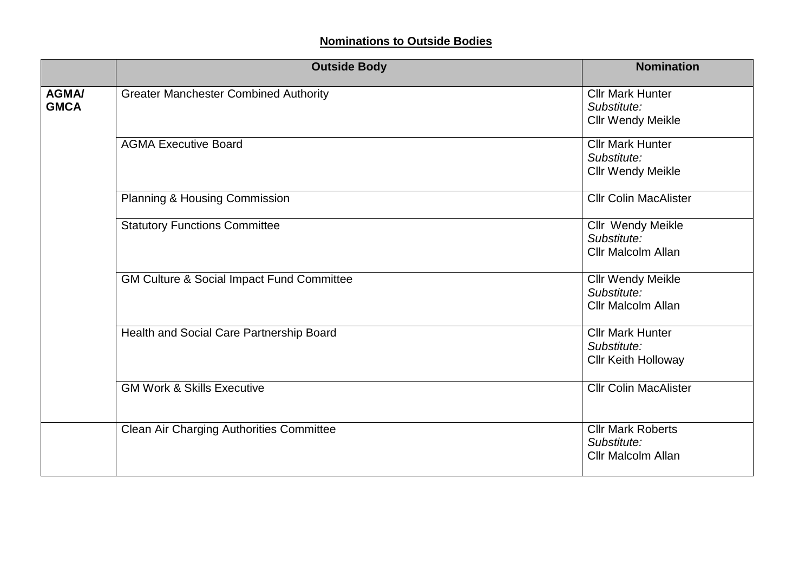## **Nominations to Outside Bodies**

|                             | <b>Outside Body</b>                                  | <b>Nomination</b>                                                    |
|-----------------------------|------------------------------------------------------|----------------------------------------------------------------------|
| <b>AGMA/</b><br><b>GMCA</b> | <b>Greater Manchester Combined Authority</b>         | <b>Cllr Mark Hunter</b><br>Substitute:<br><b>Cllr Wendy Meikle</b>   |
|                             | <b>AGMA Executive Board</b>                          | <b>Cllr Mark Hunter</b><br>Substitute:<br><b>Cllr Wendy Meikle</b>   |
|                             | Planning & Housing Commission                        | <b>Cllr Colin MacAlister</b>                                         |
|                             | <b>Statutory Functions Committee</b>                 | Cllr Wendy Meikle<br>Substitute:<br><b>Cllr Malcolm Allan</b>        |
|                             | <b>GM Culture &amp; Social Impact Fund Committee</b> | <b>Cllr Wendy Meikle</b><br>Substitute:<br><b>Cllr Malcolm Allan</b> |
|                             | Health and Social Care Partnership Board             | <b>Cllr Mark Hunter</b><br>Substitute:<br><b>Cllr Keith Holloway</b> |
|                             | <b>GM Work &amp; Skills Executive</b>                | <b>Cllr Colin MacAlister</b>                                         |
|                             | Clean Air Charging Authorities Committee             | <b>Cllr Mark Roberts</b><br>Substitute:<br><b>Cllr Malcolm Allan</b> |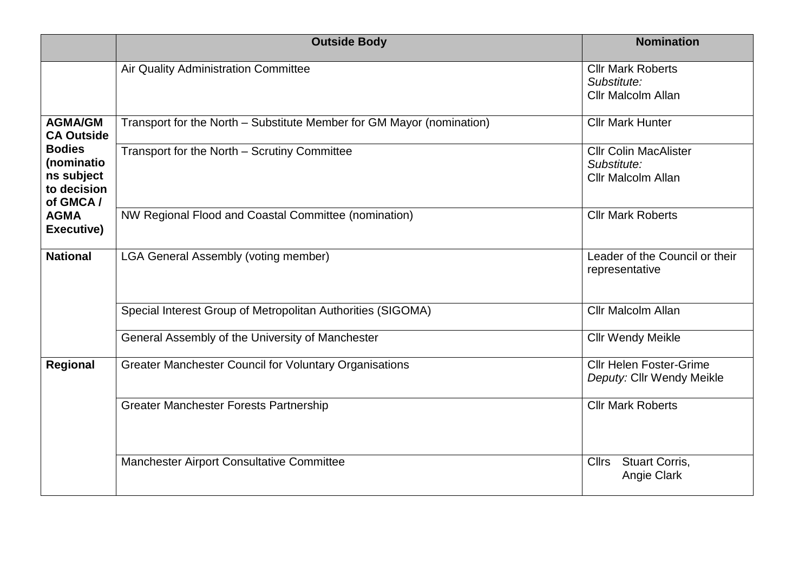|                                                                      | <b>Outside Body</b>                                                   | <b>Nomination</b>                                                        |
|----------------------------------------------------------------------|-----------------------------------------------------------------------|--------------------------------------------------------------------------|
|                                                                      | Air Quality Administration Committee                                  | <b>Cllr Mark Roberts</b><br>Substitute:<br><b>Cllr Malcolm Allan</b>     |
| <b>AGMA/GM</b><br><b>CA Outside</b>                                  | Transport for the North - Substitute Member for GM Mayor (nomination) | <b>Cllr Mark Hunter</b>                                                  |
| <b>Bodies</b><br>(nominatio<br>ns subject<br>to decision<br>of GMCA/ | Transport for the North - Scrutiny Committee                          | <b>Cllr Colin MacAlister</b><br>Substitute:<br><b>Cllr Malcolm Allan</b> |
| <b>AGMA</b><br>Executive)                                            | NW Regional Flood and Coastal Committee (nomination)                  | <b>Cllr Mark Roberts</b>                                                 |
| <b>National</b>                                                      | <b>LGA General Assembly (voting member)</b>                           | Leader of the Council or their<br>representative                         |
|                                                                      | Special Interest Group of Metropolitan Authorities (SIGOMA)           | <b>Cllr Malcolm Allan</b>                                                |
|                                                                      | General Assembly of the University of Manchester                      | <b>Cllr Wendy Meikle</b>                                                 |
| Regional                                                             | <b>Greater Manchester Council for Voluntary Organisations</b>         | <b>Cllr Helen Foster-Grime</b><br>Deputy: Cllr Wendy Meikle              |
|                                                                      | <b>Greater Manchester Forests Partnership</b>                         | <b>Cllr Mark Roberts</b>                                                 |
|                                                                      | Manchester Airport Consultative Committee                             | <b>Stuart Corris,</b><br><b>Cllrs</b><br>Angie Clark                     |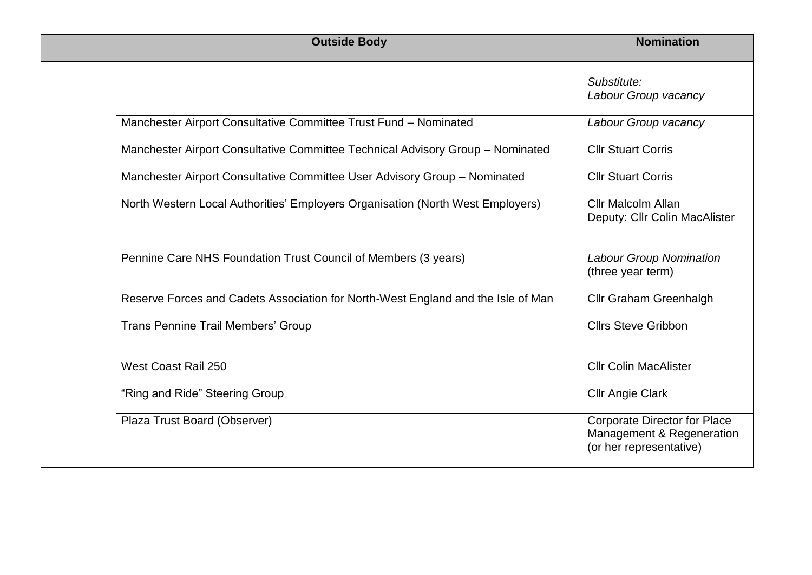| <b>Outside Body</b>                                                              | <b>Nomination</b>                                                                           |
|----------------------------------------------------------------------------------|---------------------------------------------------------------------------------------------|
|                                                                                  | Substitute:<br>Labour Group vacancy                                                         |
| Manchester Airport Consultative Committee Trust Fund - Nominated                 | Labour Group vacancy                                                                        |
| Manchester Airport Consultative Committee Technical Advisory Group - Nominated   | <b>Cllr Stuart Corris</b>                                                                   |
| Manchester Airport Consultative Committee User Advisory Group - Nominated        | <b>Cllr Stuart Corris</b>                                                                   |
| North Western Local Authorities' Employers Organisation (North West Employers)   | <b>Cllr Malcolm Allan</b><br>Deputy: Cllr Colin MacAlister                                  |
| Pennine Care NHS Foundation Trust Council of Members (3 years)                   | <b>Labour Group Nomination</b><br>(three year term)                                         |
| Reserve Forces and Cadets Association for North-West England and the Isle of Man | Cllr Graham Greenhalgh                                                                      |
| <b>Trans Pennine Trail Members' Group</b>                                        | <b>Cllrs Steve Gribbon</b>                                                                  |
| West Coast Rail 250                                                              | <b>Cllr Colin MacAlister</b>                                                                |
| "Ring and Ride" Steering Group                                                   | <b>Cllr Angie Clark</b>                                                                     |
| Plaza Trust Board (Observer)                                                     | <b>Corporate Director for Place</b><br>Management & Regeneration<br>(or her representative) |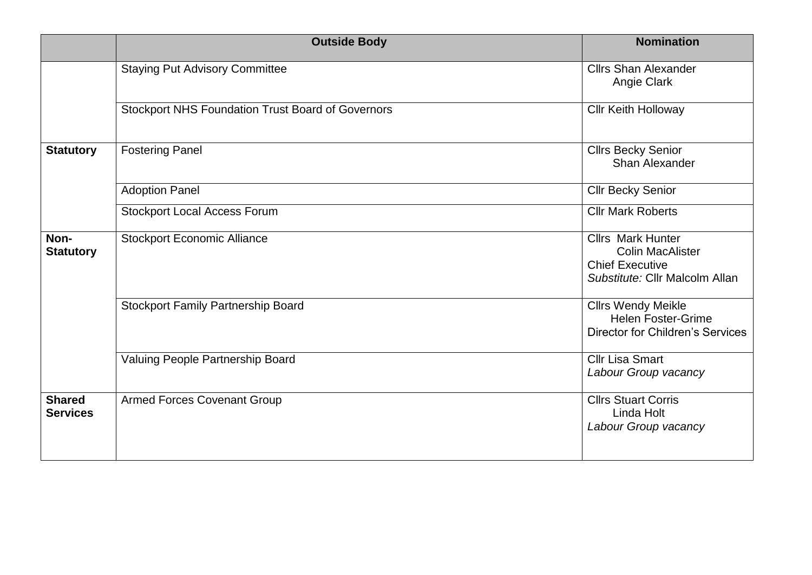|                                  | <b>Outside Body</b>                                      | <b>Nomination</b>                                                                                               |
|----------------------------------|----------------------------------------------------------|-----------------------------------------------------------------------------------------------------------------|
|                                  | <b>Staying Put Advisory Committee</b>                    | <b>Cllrs Shan Alexander</b><br>Angie Clark                                                                      |
|                                  | <b>Stockport NHS Foundation Trust Board of Governors</b> | <b>Cllr Keith Holloway</b>                                                                                      |
| <b>Statutory</b>                 | <b>Fostering Panel</b>                                   | <b>Cllrs Becky Senior</b><br>Shan Alexander                                                                     |
|                                  | <b>Adoption Panel</b>                                    | <b>Cllr Becky Senior</b>                                                                                        |
|                                  | <b>Stockport Local Access Forum</b>                      | <b>Cllr Mark Roberts</b>                                                                                        |
| Non-<br><b>Statutory</b>         | <b>Stockport Economic Alliance</b>                       | <b>Cllrs Mark Hunter</b><br><b>Colin MacAlister</b><br><b>Chief Executive</b><br>Substitute: Cllr Malcolm Allan |
|                                  | <b>Stockport Family Partnership Board</b>                | <b>Cllrs Wendy Meikle</b><br><b>Helen Foster-Grime</b><br><b>Director for Children's Services</b>               |
|                                  | Valuing People Partnership Board                         | <b>Cllr Lisa Smart</b><br>Labour Group vacancy                                                                  |
| <b>Shared</b><br><b>Services</b> | <b>Armed Forces Covenant Group</b>                       | <b>Cllrs Stuart Corris</b><br>Linda Holt<br>Labour Group vacancy                                                |